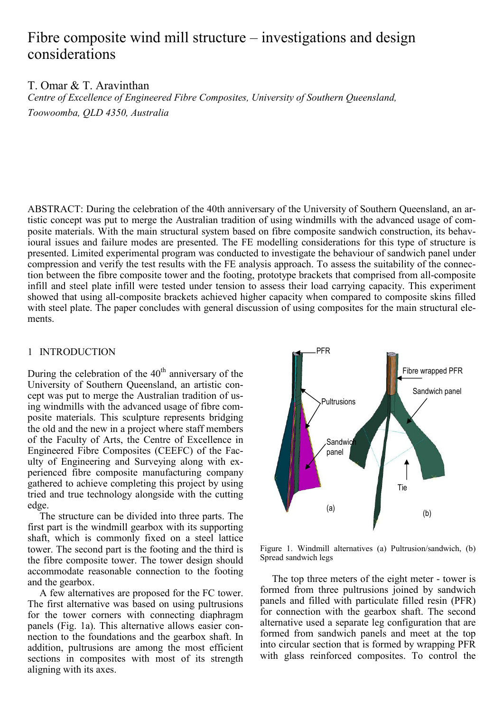# Fibre composite wind mill structure – investigations and design considerations

T. Omar & T. Aravinthan

Centre of Excellence of Engineered Fibre Composites, University of Southern Queensland, Toowoomba, QLD 4350, Australia

ABSTRACT: During the celebration of the 40th anniversary of the University of Southern Queensland, an artistic concept was put to merge the Australian tradition of using windmills with the advanced usage of composite materials. With the main structural system based on fibre composite sandwich construction, its behavioural issues and failure modes are presented. The FE modelling considerations for this type of structure is presented. Limited experimental program was conducted to investigate the behaviour of sandwich panel under compression and verify the test results with the FE analysis approach. To assess the suitability of the connection between the fibre composite tower and the footing, prototype brackets that comprised from all-composite infill and steel plate infill were tested under tension to assess their load carrying capacity. This experiment showed that using all-composite brackets achieved higher capacity when compared to composite skins filled with steel plate. The paper concludes with general discussion of using composites for the main structural elements.

## 1 INTRODUCTION

During the celebration of the  $40<sup>th</sup>$  anniversary of the University of Southern Queensland, an artistic concept was put to merge the Australian tradition of using windmills with the advanced usage of fibre composite materials. This sculpture represents bridging the old and the new in a project where staff members of the Faculty of Arts, the Centre of Excellence in Engineered Fibre Composites (CEEFC) of the Faculty of Engineering and Surveying along with experienced fibre composite manufacturing company gathered to achieve completing this project by using tried and true technology alongside with the cutting edge.

The structure can be divided into three parts. The first part is the windmill gearbox with its supporting shaft, which is commonly fixed on a steel lattice tower. The second part is the footing and the third is the fibre composite tower. The tower design should accommodate reasonable connection to the footing and the gearbox.

A few alternatives are proposed for the FC tower. The first alternative was based on using pultrusions for the tower corners with connecting diaphragm panels (Fig. 1a). This alternative allows easier connection to the foundations and the gearbox shaft. In addition, pultrusions are among the most efficient sections in composites with most of its strength aligning with its axes.



Figure 1. Windmill alternatives (a) Pultrusion/sandwich, (b) Spread sandwich legs

The top three meters of the eight meter - tower is formed from three pultrusions joined by sandwich panels and filled with particulate filled resin (PFR) for connection with the gearbox shaft. The second alternative used a separate leg configuration that are formed from sandwich panels and meet at the top into circular section that is formed by wrapping PFR with glass reinforced composites. To control the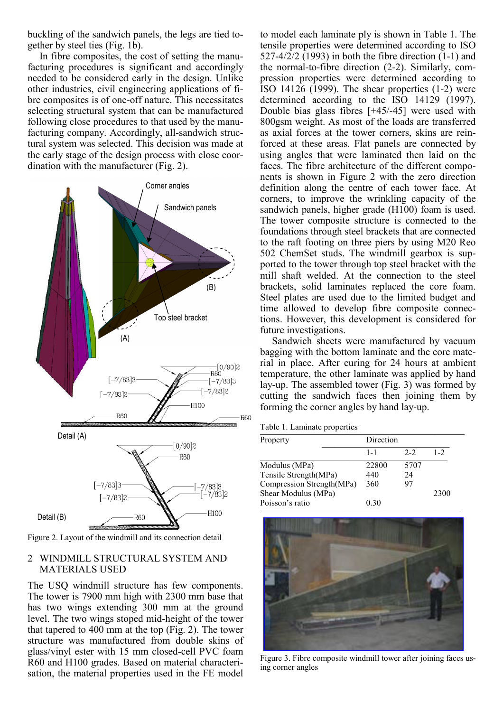buckling of the sandwich panels, the legs are tied together by steel ties (Fig. 1b).

In fibre composites, the cost of setting the manufacturing procedures is significant and accordingly needed to be considered early in the design. Unlike other industries, civil engineering applications of fibre composites is of one-off nature. This necessitates selecting structural system that can be manufactured following close procedures to that used by the manufacturing company. Accordingly, all-sandwich structural system was selected. This decision was made at the early stage of the design process with close coordination with the manufacturer (Fig. 2).



Figure 2. Layout of the windmill and its connection detail

## 2 WINDMILL STRUCTURAL SYSTEM AND MATERIALS USED

The USQ windmill structure has few components. The tower is 7900 mm high with 2300 mm base that has two wings extending 300 mm at the ground level. The two wings stoped mid-height of the tower that tapered to 400 mm at the top (Fig. 2). The tower structure was manufactured from double skins of glass/vinyl ester with 15 mm closed-cell PVC foam R60 and H100 grades. Based on material characterisation, the material properties used in the FE model to model each laminate ply is shown in Table 1. The tensile properties were determined according to ISO 527-4/2/2 (1993) in both the fibre direction (1-1) and the normal-to-fibre direction (2-2). Similarly, compression properties were determined according to ISO 14126 (1999). The shear properties (1-2) were determined according to the ISO 14129 (1997). Double bias glass fibres [+45/-45] were used with 800gsm weight. As most of the loads are transferred as axial forces at the tower corners, skins are reinforced at these areas. Flat panels are connected by using angles that were laminated then laid on the faces. The fibre architecture of the different components is shown in Figure 2 with the zero direction definition along the centre of each tower face. At corners, to improve the wrinkling capacity of the sandwich panels, higher grade (H100) foam is used. The tower composite structure is connected to the foundations through steel brackets that are connected to the raft footing on three piers by using M20 Reo 502 ChemSet studs. The windmill gearbox is supported to the tower through top steel bracket with the mill shaft welded. At the connection to the steel brackets, solid laminates replaced the core foam. Steel plates are used due to the limited budget and time allowed to develop fibre composite connections. However, this development is considered for future investigations.

Sandwich sheets were manufactured by vacuum bagging with the bottom laminate and the core material in place. After curing for 24 hours at ambient temperature, the other laminate was applied by hand lay-up. The assembled tower (Fig. 3) was formed by cutting the sandwich faces then joining them by forming the corner angles by hand lay-up.

Table 1. Laminate properties

| Property                  |  | Direction |       |         |
|---------------------------|--|-----------|-------|---------|
|                           |  | $1 - 1$   | $2-2$ | $1 - 2$ |
| Modulus (MPa)             |  | 22800     | 5707  |         |
| Tensile Strength(MPa)     |  | 440       | 24    |         |
| Compression Strength(MPa) |  | 360       | 97    |         |
| Shear Modulus (MPa)       |  |           |       | 2300    |
| Poisson's ratio           |  | 0.30      |       |         |



Figure 3. Fibre composite windmill tower after joining faces using corner angles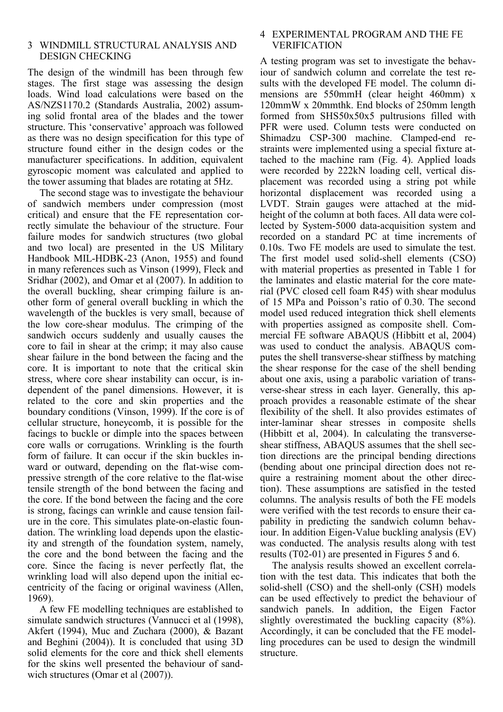## 3 WINDMILL STRUCTURAL ANALYSIS AND DESIGN CHECKING

The design of the windmill has been through few stages. The first stage was assessing the design loads. Wind load calculations were based on the AS/NZS1170.2 (Standards Australia, 2002) assuming solid frontal area of the blades and the tower structure. This 'conservative' approach was followed as there was no design specification for this type of structure found either in the design codes or the manufacturer specifications. In addition, equivalent gyroscopic moment was calculated and applied to the tower assuming that blades are rotating at 5Hz.

The second stage was to investigate the behaviour of sandwich members under compression (most critical) and ensure that the FE representation correctly simulate the behaviour of the structure. Four failure modes for sandwich structures (two global and two local) are presented in the US Military Handbook MIL-HDBK-23 (Anon, 1955) and found in many references such as Vinson (1999), Fleck and Sridhar (2002), and Omar et al (2007). In addition to the overall buckling, shear crimping failure is another form of general overall buckling in which the wavelength of the buckles is very small, because of the low core-shear modulus. The crimping of the sandwich occurs suddenly and usually causes the core to fail in shear at the crimp; it may also cause shear failure in the bond between the facing and the core. It is important to note that the critical skin stress, where core shear instability can occur, is independent of the panel dimensions. However, it is related to the core and skin properties and the boundary conditions (Vinson, 1999). If the core is of cellular structure, honeycomb, it is possible for the facings to buckle or dimple into the spaces between core walls or corrugations. Wrinkling is the fourth form of failure. It can occur if the skin buckles inward or outward, depending on the flat-wise compressive strength of the core relative to the flat-wise tensile strength of the bond between the facing and the core. If the bond between the facing and the core is strong, facings can wrinkle and cause tension failure in the core. This simulates plate-on-elastic foundation. The wrinkling load depends upon the elasticity and strength of the foundation system, namely, the core and the bond between the facing and the core. Since the facing is never perfectly flat, the wrinkling load will also depend upon the initial eccentricity of the facing or original waviness (Allen, 1969).

A few FE modelling techniques are established to simulate sandwich structures (Vannucci et al (1998), Akfert (1994), Muc and Zuchara (2000), & Bazant and Beghini (2004)). It is concluded that using 3D solid elements for the core and thick shell elements for the skins well presented the behaviour of sandwich structures (Omar et al  $(2007)$ ).

## 4 EXPERIMENTAL PROGRAM AND THE FE VERIFICATION

A testing program was set to investigate the behaviour of sandwich column and correlate the test results with the developed FE model. The column dimensions are 550mmH (clear height 460mm) x 120mmW x 20mmthk. End blocks of 250mm length formed from SHS50x50x5 pultrusions filled with PFR were used. Column tests were conducted on Shimadzu CSP-300 machine. Clamped-end restraints were implemented using a special fixture attached to the machine ram (Fig. 4). Applied loads were recorded by 222kN loading cell, vertical displacement was recorded using a string pot while horizontal displacement was recorded using a LVDT. Strain gauges were attached at the midheight of the column at both faces. All data were collected by System-5000 data-acquisition system and recorded on a standard PC at time increments of 0.10s. Two FE models are used to simulate the test. The first model used solid-shell elements (CSO) with material properties as presented in Table 1 for the laminates and elastic material for the core material (PVC closed cell foam R45) with shear modulus of 15 MPa and Poisson's ratio of 0.30. The second model used reduced integration thick shell elements with properties assigned as composite shell. Commercial FE software ABAQUS (Hibbitt et al, 2004) was used to conduct the analysis. ABAQUS computes the shell transverse-shear stiffness by matching the shear response for the case of the shell bending about one axis, using a parabolic variation of transverse-shear stress in each layer. Generally, this approach provides a reasonable estimate of the shear flexibility of the shell. It also provides estimates of inter-laminar shear stresses in composite shells (Hibbitt et al, 2004). In calculating the transverseshear stiffness, ABAQUS assumes that the shell section directions are the principal bending directions (bending about one principal direction does not require a restraining moment about the other direction). These assumptions are satisfied in the tested columns. The analysis results of both the FE models were verified with the test records to ensure their capability in predicting the sandwich column behaviour. In addition Eigen-Value buckling analysis (EV) was conducted. The analysis results along with test results (T02-01) are presented in Figures 5 and 6.

The analysis results showed an excellent correlation with the test data. This indicates that both the solid-shell (CSO) and the shell-only (CSH) models can be used effectively to predict the behaviour of sandwich panels. In addition, the Eigen Factor slightly overestimated the buckling capacity (8%). Accordingly, it can be concluded that the FE modelling procedures can be used to design the windmill structure.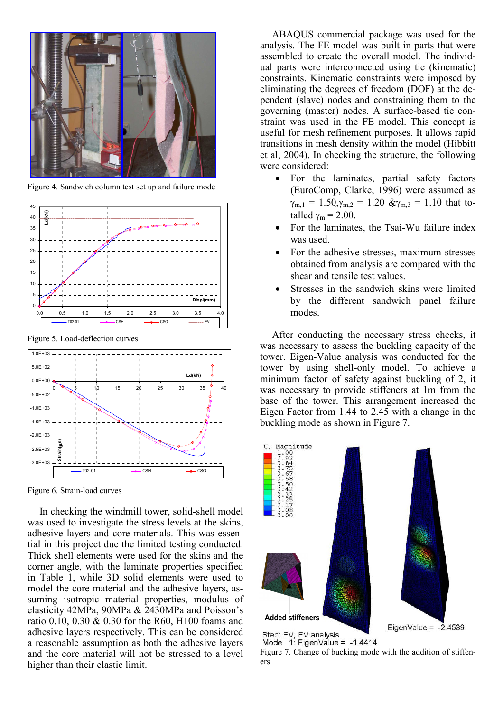

Figure 4. Sandwich column test set up and failure mode



Figure 5. Load-deflection curves



Figure 6. Strain-load curves

In checking the windmill tower, solid-shell model was used to investigate the stress levels at the skins, adhesive layers and core materials. This was essential in this project due the limited testing conducted. Thick shell elements were used for the skins and the corner angle, with the laminate properties specified in Table 1, while 3D solid elements were used to model the core material and the adhesive layers, assuming isotropic material properties, modulus of elasticity 42MPa, 90MPa & 2430MPa and Poisson's ratio 0.10, 0.30 & 0.30 for the R60, H100 foams and adhesive layers respectively. This can be considered a reasonable assumption as both the adhesive layers and the core material will not be stressed to a level higher than their elastic limit.

ABAQUS commercial package was used for the analysis. The FE model was built in parts that were assembled to create the overall model. The individual parts were interconnected using tie (kinematic) constraints. Kinematic constraints were imposed by eliminating the degrees of freedom (DOF) at the dependent (slave) nodes and constraining them to the governing (master) nodes. A surface-based tie constraint was used in the FE model. This concept is useful for mesh refinement purposes. It allows rapid transitions in mesh density within the model (Hibbitt et al, 2004). In checking the structure, the following were considered:

- For the laminates, partial safety factors (EuroComp, Clarke, 1996) were assumed as  $\gamma_{m,1} = 1.50, \gamma_{m,2} = 1.20 \& \gamma_{m,3} = 1.10$  that totalled  $\gamma_m = 2.00$ .
- For the laminates, the Tsai-Wu failure index was used.
- For the adhesive stresses, maximum stresses obtained from analysis are compared with the shear and tensile test values.
- Stresses in the sandwich skins were limited by the different sandwich panel failure modes.

After conducting the necessary stress checks, it was necessary to assess the buckling capacity of the tower. Eigen-Value analysis was conducted for the tower by using shell-only model. To achieve a minimum factor of safety against buckling of 2, it was necessary to provide stiffeners at 1m from the base of the tower. This arrangement increased the Eigen Factor from 1.44 to 2.45 with a change in the buckling mode as shown in Figure 7.



Mode  $1: EigenValue = -1.4414$ 

Figure 7. Change of bucking mode with the addition of stiffeners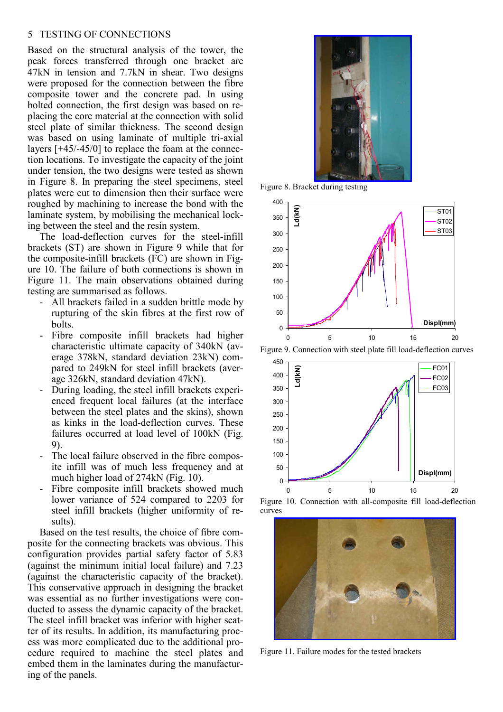#### 5 TESTING OF CONNECTIONS

Based on the structural analysis of the tower, the peak forces transferred through one bracket are 47kN in tension and 7.7kN in shear. Two designs were proposed for the connection between the fibre composite tower and the concrete pad. In using bolted connection, the first design was based on replacing the core material at the connection with solid steel plate of similar thickness. The second design was based on using laminate of multiple tri-axial layers [+45/-45/0] to replace the foam at the connection locations. To investigate the capacity of the joint under tension, the two designs were tested as shown in Figure 8. In preparing the steel specimens, steel plates were cut to dimension then their surface were roughed by machining to increase the bond with the laminate system, by mobilising the mechanical locking between the steel and the resin system.

The load-deflection curves for the steel-infill brackets (ST) are shown in Figure 9 while that for the composite-infill brackets (FC) are shown in Figure 10. The failure of both connections is shown in Figure 11. The main observations obtained during testing are summarised as follows.

- All brackets failed in a sudden brittle mode by rupturing of the skin fibres at the first row of bolts.
- Fibre composite infill brackets had higher characteristic ultimate capacity of 340kN (average 378kN, standard deviation 23kN) compared to 249kN for steel infill brackets (average 326kN, standard deviation 47kN).
- During loading, the steel infill brackets experienced frequent local failures (at the interface between the steel plates and the skins), shown as kinks in the load-deflection curves. These failures occurred at load level of 100kN (Fig. 9).
- The local failure observed in the fibre composite infill was of much less frequency and at much higher load of 274kN (Fig. 10).
- Fibre composite infill brackets showed much lower variance of 524 compared to 2203 for steel infill brackets (higher uniformity of results).

Based on the test results, the choice of fibre composite for the connecting brackets was obvious. This configuration provides partial safety factor of 5.83 (against the minimum initial local failure) and 7.23 (against the characteristic capacity of the bracket). This conservative approach in designing the bracket was essential as no further investigations were conducted to assess the dynamic capacity of the bracket. The steel infill bracket was inferior with higher scatter of its results. In addition, its manufacturing process was more complicated due to the additional procedure required to machine the steel plates and embed them in the laminates during the manufacturing of the panels.



Figure 8. Bracket during testing



Figure 9. Connection with steel plate fill load-deflection curves



Figure 10. Connection with all-composite fill load-deflection curves



Figure 11. Failure modes for the tested brackets